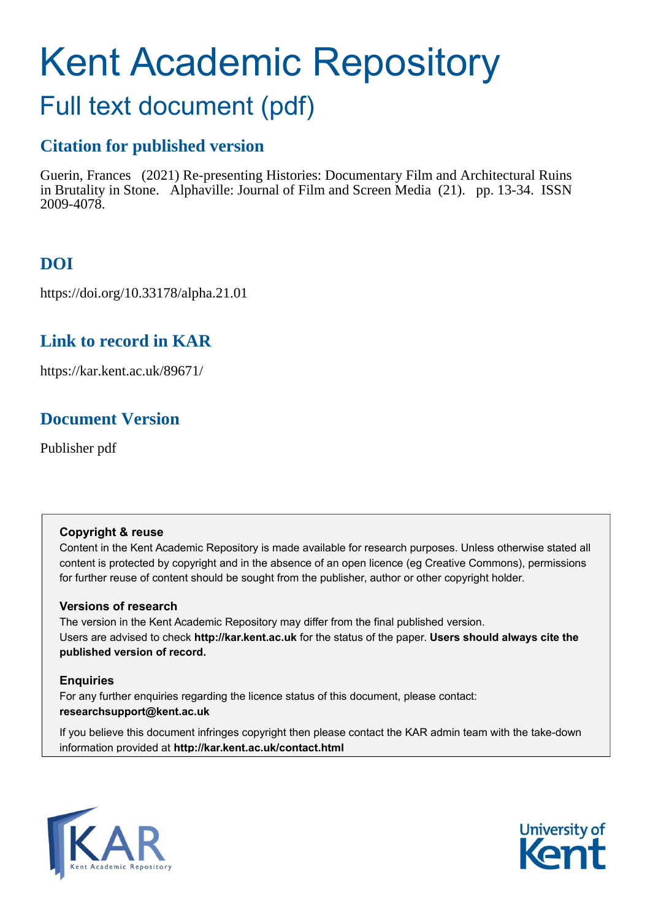# Kent Academic Repository Full text document (pdf)

## **Citation for published version**

Guerin, Frances (2021) Re-presenting Histories: Documentary Film and Architectural Ruins in Brutality in Stone. Alphaville: Journal of Film and Screen Media (21). pp. 13-34. ISSN 2009-4078.

## **DOI**

https://doi.org/10.33178/alpha.21.01

### **Link to record in KAR**

https://kar.kent.ac.uk/89671/

## **Document Version**

Publisher pdf

### **Copyright & reuse**

Content in the Kent Academic Repository is made available for research purposes. Unless otherwise stated all content is protected by copyright and in the absence of an open licence (eg Creative Commons), permissions for further reuse of content should be sought from the publisher, author or other copyright holder.

### **Versions of research**

The version in the Kent Academic Repository may differ from the final published version. Users are advised to check **http://kar.kent.ac.uk** for the status of the paper. **Users should always cite the published version of record.**

### **Enquiries**

For any further enquiries regarding the licence status of this document, please contact: **researchsupport@kent.ac.uk**

If you believe this document infringes copyright then please contact the KAR admin team with the take-down information provided at **http://kar.kent.ac.uk/contact.html**



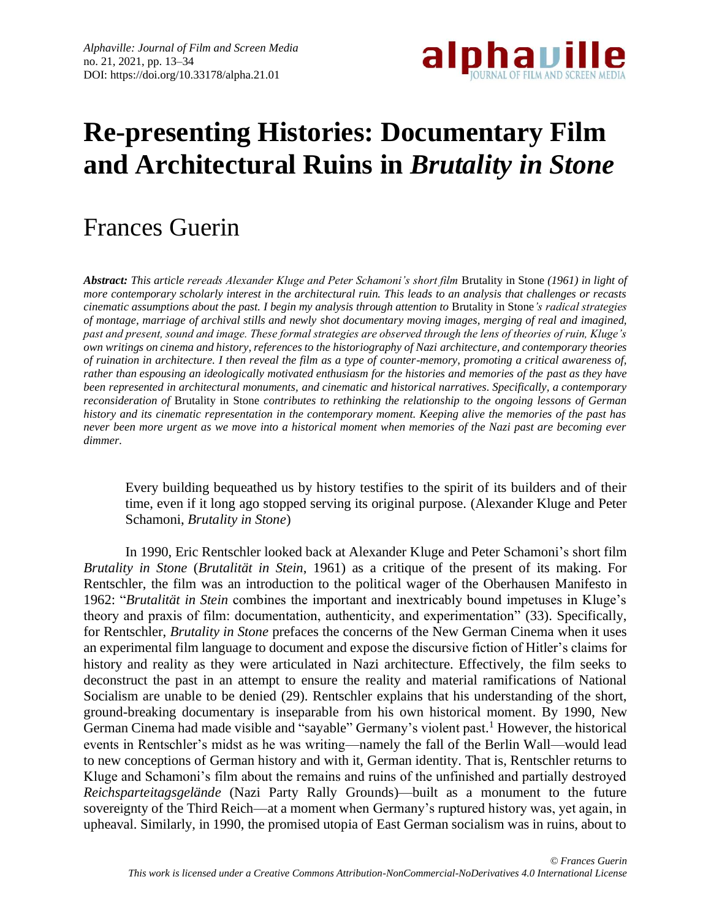

## **Re-presenting Histories: Documentary Film and Architectural Ruins in** *Brutality in Stone*

## Frances Guerin

*Abstract: This article rereads Alexander Kluge and Peter Schamoni's short film* Brutality in Stone *(1961) in light of more contemporary scholarly interest in the architectural ruin. This leads to an analysis that challenges or recasts cinematic assumptions about the past. I begin my analysis through attention to* Brutality in Stone*'s radical strategies of montage, marriage of archival stills and newly shot documentary moving images, merging of real and imagined, past and present, sound and image. These formal strategies are observed through the lens of theories of ruin, Kluge's own writings on cinema and history, references to the historiography of Nazi architecture, and contemporary theories of ruination in architecture. I then reveal the film as a type of counter-memory, promoting a critical awareness of, rather than espousing an ideologically motivated enthusiasm for the histories and memories of the past as they have been represented in architectural monuments, and cinematic and historical narratives. Specifically, a contemporary reconsideration of* Brutality in Stone *contributes to rethinking the relationship to the ongoing lessons of German history and its cinematic representation in the contemporary moment. Keeping alive the memories of the past has never been more urgent as we move into a historical moment when memories of the Nazi past are becoming ever dimmer.*

Every building bequeathed us by history testifies to the spirit of its builders and of their time, even if it long ago stopped serving its original purpose. (Alexander Kluge and Peter Schamoni, *Brutality in Stone*)

In 1990, Eric Rentschler looked back at Alexander Kluge and Peter Schamoni's short film *Brutality in Stone* (*Brutalität in Stein*, 1961) as a critique of the present of its making. For Rentschler, the film was an introduction to the political wager of the Oberhausen Manifesto in 1962: "*Brutalität in Stein* combines the important and inextricably bound impetuses in Kluge's theory and praxis of film: documentation, authenticity, and experimentation" (33). Specifically, for Rentschler, *Brutality in Stone* prefaces the concerns of the New German Cinema when it uses an experimental film language to document and expose the discursive fiction of Hitler's claims for history and reality as they were articulated in Nazi architecture. Effectively, the film seeks to deconstruct the past in an attempt to ensure the reality and material ramifications of National Socialism are unable to be denied (29). Rentschler explains that his understanding of the short, ground-breaking documentary is inseparable from his own historical moment. By 1990, New German Cinema had made visible and "sayable" Germany's violent past.<sup>1</sup> However, the historical events in Rentschler's midst as he was writing—namely the fall of the Berlin Wall—would lead to new conceptions of German history and with it, German identity. That is, Rentschler returns to Kluge and Schamoni's film about the remains and ruins of the unfinished and partially destroyed *Reichsparteitagsgelände* (Nazi Party Rally Grounds)—built as a monument to the future sovereignty of the Third Reich—at a moment when Germany's ruptured history was, yet again, in upheaval. Similarly, in 1990, the promised utopia of East German socialism was in ruins, about to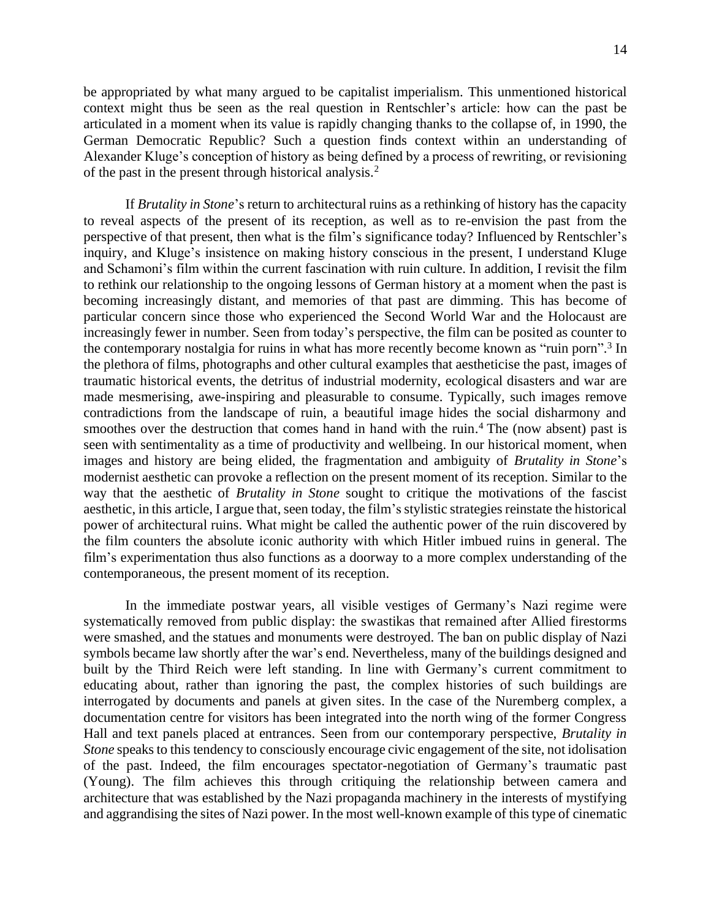be appropriated by what many argued to be capitalist imperialism. This unmentioned historical context might thus be seen as the real question in Rentschler's article: how can the past be articulated in a moment when its value is rapidly changing thanks to the collapse of, in 1990, the German Democratic Republic? Such a question finds context within an understanding of Alexander Kluge's conception of history as being defined by a process of rewriting, or revisioning of the past in the present through historical analysis.<sup>2</sup>

If *Brutality in Stone*'s return to architectural ruins as a rethinking of history has the capacity to reveal aspects of the present of its reception, as well as to re-envision the past from the perspective of that present, then what is the film's significance today? Influenced by Rentschler's inquiry, and Kluge's insistence on making history conscious in the present, I understand Kluge and Schamoni's film within the current fascination with ruin culture. In addition, I revisit the film to rethink our relationship to the ongoing lessons of German history at a moment when the past is becoming increasingly distant, and memories of that past are dimming. This has become of particular concern since those who experienced the Second World War and the Holocaust are increasingly fewer in number. Seen from today's perspective, the film can be posited as counter to the contemporary nostalgia for ruins in what has more recently become known as "ruin porn".<sup>3</sup> In the plethora of films, photographs and other cultural examples that aestheticise the past, images of traumatic historical events, the detritus of industrial modernity, ecological disasters and war are made mesmerising, awe-inspiring and pleasurable to consume. Typically, such images remove contradictions from the landscape of ruin, a beautiful image hides the social disharmony and smoothes over the destruction that comes hand in hand with the ruin.<sup>4</sup> The (now absent) past is seen with sentimentality as a time of productivity and wellbeing. In our historical moment, when images and history are being elided, the fragmentation and ambiguity of *Brutality in Stone*'s modernist aesthetic can provoke a reflection on the present moment of its reception. Similar to the way that the aesthetic of *Brutality in Stone* sought to critique the motivations of the fascist aesthetic, in this article, I argue that, seen today, the film's stylistic strategies reinstate the historical power of architectural ruins. What might be called the authentic power of the ruin discovered by the film counters the absolute iconic authority with which Hitler imbued ruins in general. The film's experimentation thus also functions as a doorway to a more complex understanding of the contemporaneous, the present moment of its reception.

In the immediate postwar years, all visible vestiges of Germany's Nazi regime were systematically removed from public display: the swastikas that remained after Allied firestorms were smashed, and the statues and monuments were destroyed. The ban on public display of Nazi symbols became law shortly after the war's end. Nevertheless, many of the buildings designed and built by the Third Reich were left standing. In line with Germany's current commitment to educating about, rather than ignoring the past, the complex histories of such buildings are interrogated by documents and panels at given sites. In the case of the Nuremberg complex, a documentation centre for visitors has been integrated into the north wing of the former Congress Hall and text panels placed at entrances. Seen from our contemporary perspective, *Brutality in Stone* speaks to this tendency to consciously encourage civic engagement of the site, not idolisation of the past. Indeed, the film encourages spectator-negotiation of Germany's traumatic past (Young). The film achieves this through critiquing the relationship between camera and architecture that was established by the Nazi propaganda machinery in the interests of mystifying and aggrandising the sites of Nazi power. In the most well-known example of this type of cinematic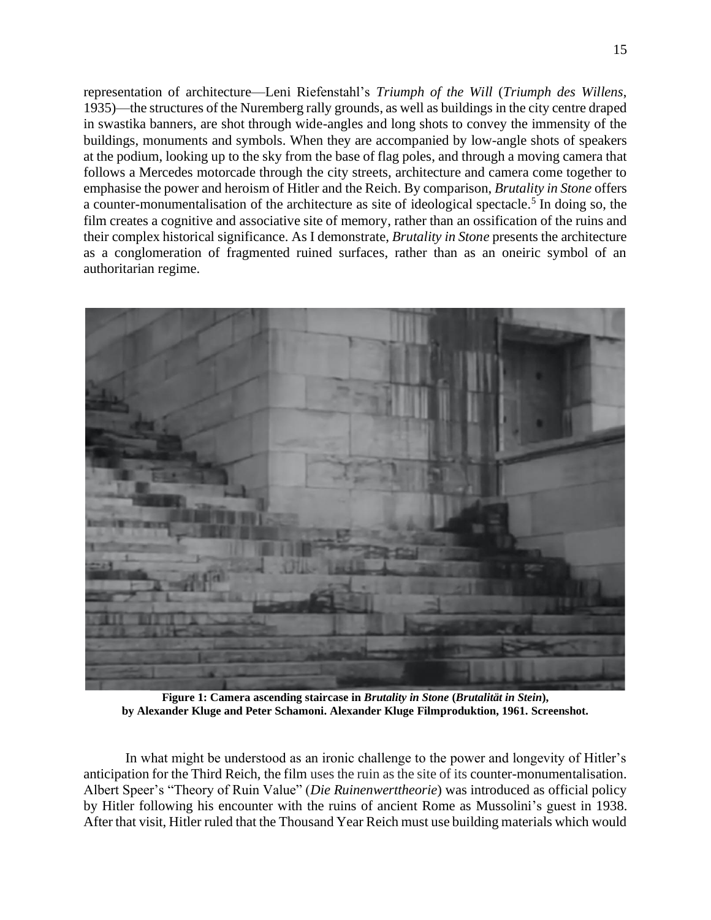representation of architecture—Leni Riefenstahl's *Triumph of the Will* (*Triumph des Willens*, 1935)—the structures of the Nuremberg rally grounds, as well as buildings in the city centre draped in swastika banners, are shot through wide-angles and long shots to convey the immensity of the buildings, monuments and symbols. When they are accompanied by low-angle shots of speakers at the podium, looking up to the sky from the base of flag poles, and through a moving camera that follows a Mercedes motorcade through the city streets, architecture and camera come together to emphasise the power and heroism of Hitler and the Reich. By comparison, *Brutality in Stone* offers a counter-monumentalisation of the architecture as site of ideological spectacle. 5 In doing so, the film creates a cognitive and associative site of memory, rather than an ossification of the ruins and their complex historical significance. As I demonstrate, *Brutality in Stone* presents the architecture as a conglomeration of fragmented ruined surfaces, rather than as an oneiric symbol of an authoritarian regime.



**Figure 1: Camera ascending staircase in** *Brutality in Stone* **(***Brutalität in Stein***), by Alexander Kluge and Peter Schamoni. Alexander Kluge Filmproduktion, 1961. Screenshot.**

In what might be understood as an ironic challenge to the power and longevity of Hitler's anticipation for the Third Reich, the film uses the ruin as the site of its counter-monumentalisation. Albert Speer's "Theory of Ruin Value" (*Die Ruinenwerttheorie*) was introduced as official policy by Hitler following his encounter with the ruins of ancient Rome as Mussolini's guest in 1938. After that visit, Hitler ruled that the Thousand Year Reich must use building materials which would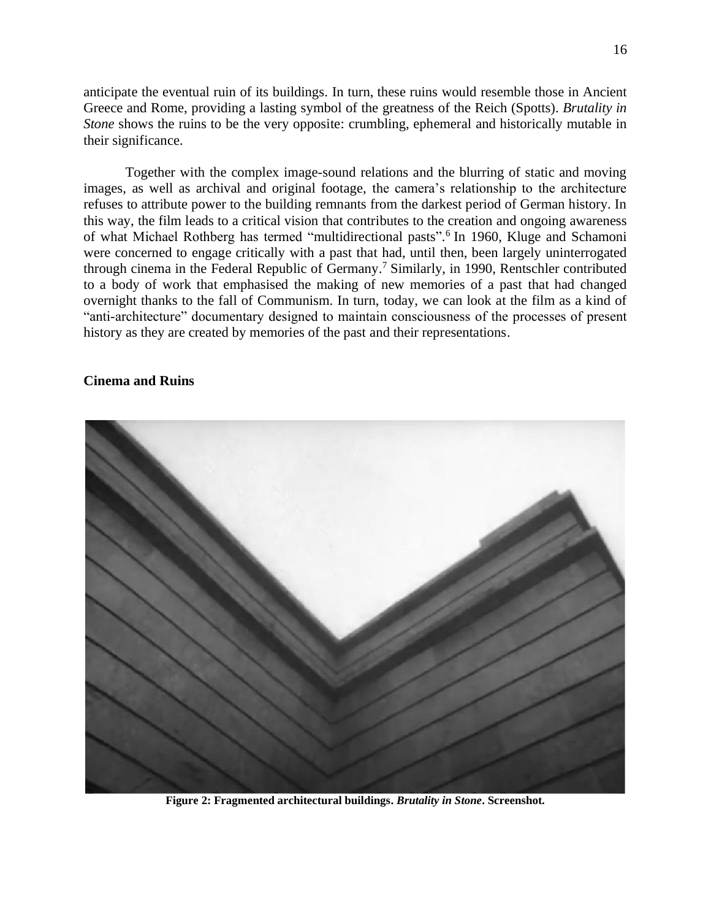anticipate the eventual ruin of its buildings. In turn, these ruins would resemble those in Ancient Greece and Rome, providing a lasting symbol of the greatness of the Reich (Spotts). *Brutality in Stone* shows the ruins to be the very opposite: crumbling, ephemeral and historically mutable in their significance.

Together with the complex image-sound relations and the blurring of static and moving images, as well as archival and original footage, the camera's relationship to the architecture refuses to attribute power to the building remnants from the darkest period of German history. In this way, the film leads to a critical vision that contributes to the creation and ongoing awareness of what Michael Rothberg has termed "multidirectional pasts". 6 In 1960, Kluge and Schamoni were concerned to engage critically with a past that had, until then, been largely uninterrogated through cinema in the Federal Republic of Germany.<sup>7</sup> Similarly, in 1990, Rentschler contributed to a body of work that emphasised the making of new memories of a past that had changed overnight thanks to the fall of Communism. In turn, today, we can look at the film as a kind of "anti-architecture" documentary designed to maintain consciousness of the processes of present history as they are created by memories of the past and their representations.

### **Cinema and Ruins**



**Figure 2: Fragmented architectural buildings.** *Brutality in Stone***. Screenshot.**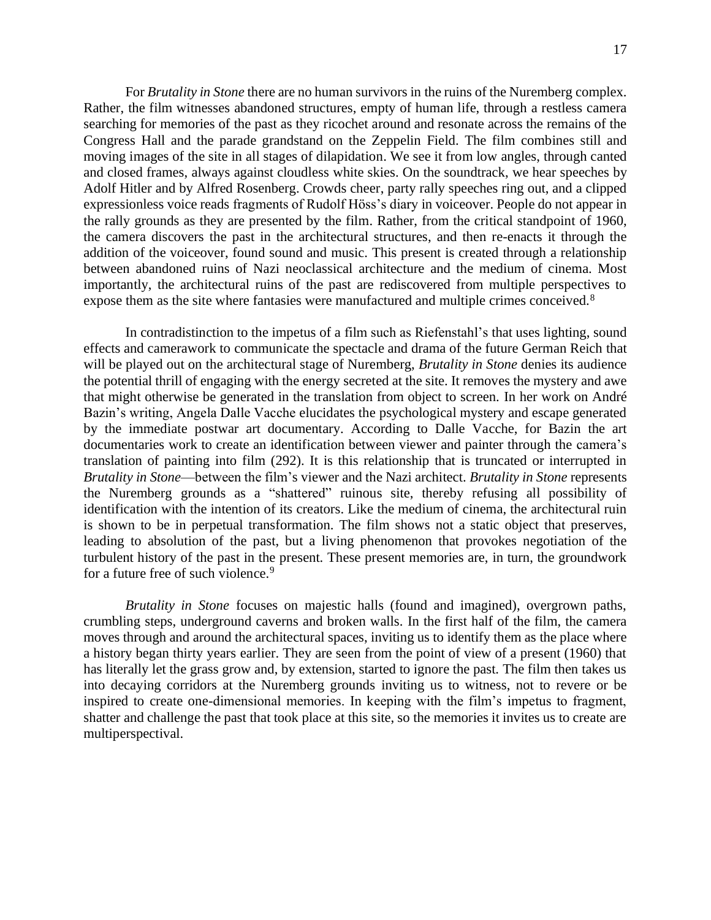For *Brutality in Stone* there are no human survivors in the ruins of the Nuremberg complex. Rather, the film witnesses abandoned structures, empty of human life, through a restless camera searching for memories of the past as they ricochet around and resonate across the remains of the Congress Hall and the parade grandstand on the Zeppelin Field. The film combines still and moving images of the site in all stages of dilapidation. We see it from low angles, through canted and closed frames, always against cloudless white skies. On the soundtrack, we hear speeches by Adolf Hitler and by Alfred Rosenberg. Crowds cheer, party rally speeches ring out, and a clipped expressionless voice reads fragments of Rudolf Höss's diary in voiceover. People do not appear in the rally grounds as they are presented by the film. Rather, from the critical standpoint of 1960, the camera discovers the past in the architectural structures, and then re-enacts it through the addition of the voiceover, found sound and music. This present is created through a relationship between abandoned ruins of Nazi neoclassical architecture and the medium of cinema. Most importantly, the architectural ruins of the past are rediscovered from multiple perspectives to expose them as the site where fantasies were manufactured and multiple crimes conceived.<sup>8</sup>

In contradistinction to the impetus of a film such as Riefenstahl's that uses lighting, sound effects and camerawork to communicate the spectacle and drama of the future German Reich that will be played out on the architectural stage of Nuremberg, *Brutality in Stone* denies its audience the potential thrill of engaging with the energy secreted at the site. It removes the mystery and awe that might otherwise be generated in the translation from object to screen. In her work on André Bazin's writing, Angela Dalle Vacche elucidates the psychological mystery and escape generated by the immediate postwar art documentary. According to Dalle Vacche, for Bazin the art documentaries work to create an identification between viewer and painter through the camera's translation of painting into film (292). It is this relationship that is truncated or interrupted in *Brutality in Stone*—between the film's viewer and the Nazi architect. *Brutality in Stone* represents the Nuremberg grounds as a "shattered" ruinous site, thereby refusing all possibility of identification with the intention of its creators. Like the medium of cinema, the architectural ruin is shown to be in perpetual transformation. The film shows not a static object that preserves, leading to absolution of the past, but a living phenomenon that provokes negotiation of the turbulent history of the past in the present. These present memories are, in turn, the groundwork for a future free of such violence.<sup>9</sup>

*Brutality in Stone* focuses on majestic halls (found and imagined), overgrown paths, crumbling steps, underground caverns and broken walls. In the first half of the film, the camera moves through and around the architectural spaces, inviting us to identify them as the place where a history began thirty years earlier. They are seen from the point of view of a present (1960) that has literally let the grass grow and, by extension, started to ignore the past. The film then takes us into decaying corridors at the Nuremberg grounds inviting us to witness, not to revere or be inspired to create one-dimensional memories. In keeping with the film's impetus to fragment, shatter and challenge the past that took place at this site, so the memories it invites us to create are multiperspectival.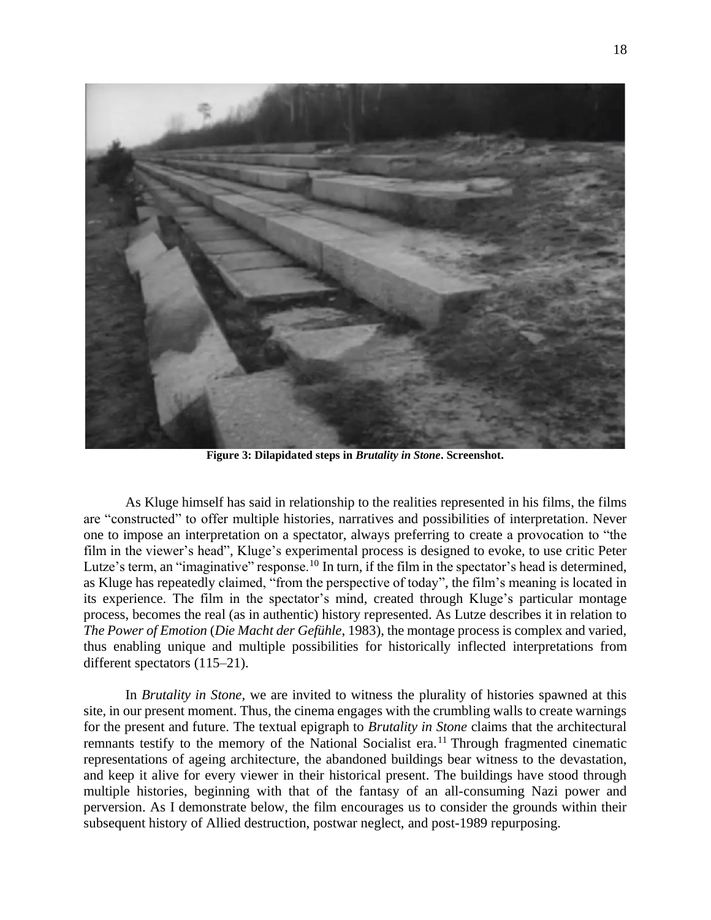

**Figure 3: Dilapidated steps in** *Brutality in Stone***. Screenshot.**

As Kluge himself has said in relationship to the realities represented in his films, the films are "constructed" to offer multiple histories, narratives and possibilities of interpretation. Never one to impose an interpretation on a spectator, always preferring to create a provocation to "the film in the viewer's head", Kluge's experimental process is designed to evoke, to use critic Peter Lutze's term, an "imaginative" response.<sup>10</sup> In turn, if the film in the spectator's head is determined, as Kluge has repeatedly claimed, "from the perspective of today", the film's meaning is located in its experience. The film in the spectator's mind, created through Kluge's particular montage process, becomes the real (as in authentic) history represented. As Lutze describes it in relation to *The Power of Emotion* (*Die Macht der Gefühle*, 1983), the montage process is complex and varied, thus enabling unique and multiple possibilities for historically inflected interpretations from different spectators (115–21).

In *Brutality in Stone*, we are invited to witness the plurality of histories spawned at this site, in our present moment. Thus, the cinema engages with the crumbling walls to create warnings for the present and future. The textual epigraph to *Brutality in Stone* claims that the architectural remnants testify to the memory of the National Socialist era.<sup>11</sup> Through fragmented cinematic representations of ageing architecture, the abandoned buildings bear witness to the devastation, and keep it alive for every viewer in their historical present. The buildings have stood through multiple histories, beginning with that of the fantasy of an all-consuming Nazi power and perversion. As I demonstrate below, the film encourages us to consider the grounds within their subsequent history of Allied destruction, postwar neglect, and post-1989 repurposing.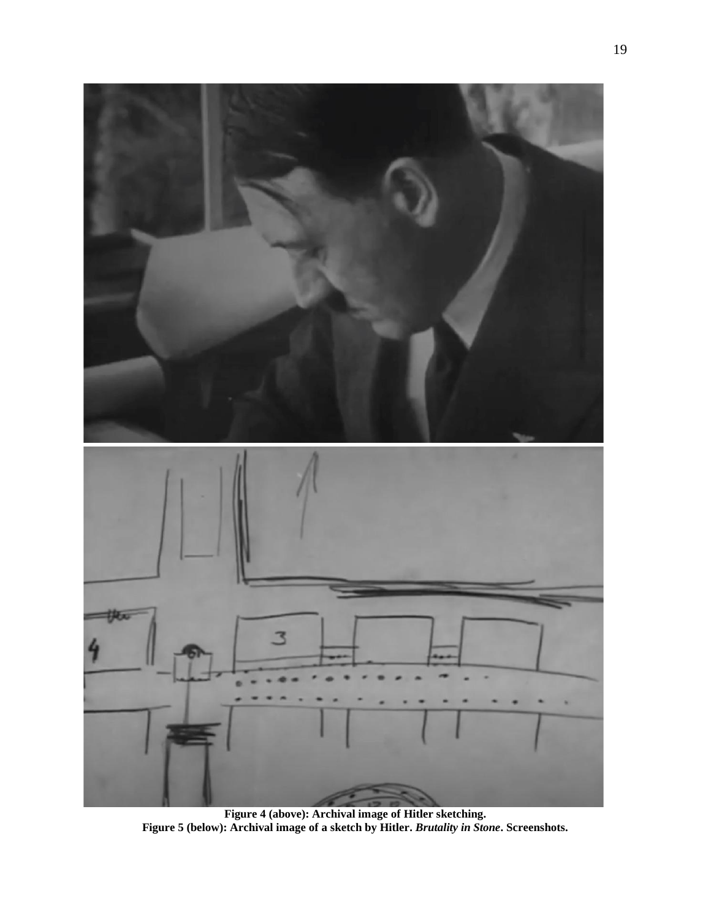

**Figure 4 (above): Archival image of Hitler sketching. Figure 5 (below): Archival image of a sketch by Hitler.** *Brutality in Stone***. Screenshots.**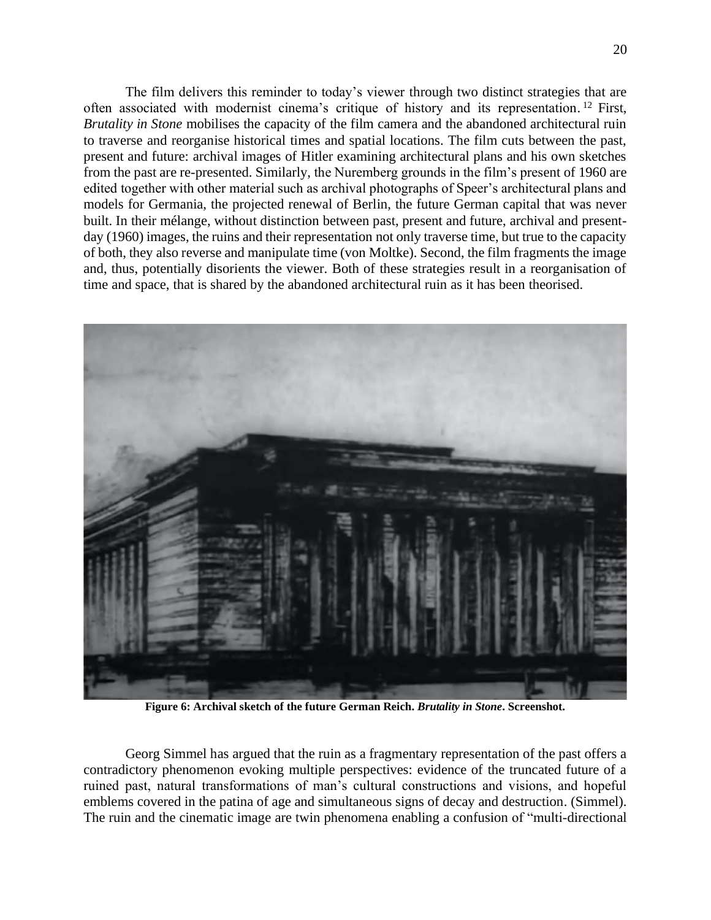The film delivers this reminder to today's viewer through two distinct strategies that are often associated with modernist cinema's critique of history and its representation.<sup>12</sup> First, *Brutality in Stone* mobilises the capacity of the film camera and the abandoned architectural ruin to traverse and reorganise historical times and spatial locations. The film cuts between the past, present and future: archival images of Hitler examining architectural plans and his own sketches from the past are re-presented. Similarly, the Nuremberg grounds in the film's present of 1960 are edited together with other material such as archival photographs of Speer's architectural plans and models for Germania, the projected renewal of Berlin, the future German capital that was never built. In their mélange, without distinction between past, present and future, archival and presentday (1960) images, the ruins and their representation not only traverse time, but true to the capacity of both, they also reverse and manipulate time (von Moltke). Second, the film fragments the image and, thus, potentially disorients the viewer. Both of these strategies result in a reorganisation of time and space, that is shared by the abandoned architectural ruin as it has been theorised.



**Figure 6: Archival sketch of the future German Reich.** *Brutality in Stone***. Screenshot.**

Georg Simmel has argued that the ruin as a fragmentary representation of the past offers a contradictory phenomenon evoking multiple perspectives: evidence of the truncated future of a ruined past, natural transformations of man's cultural constructions and visions, and hopeful emblems covered in the patina of age and simultaneous signs of decay and destruction. (Simmel). The ruin and the cinematic image are twin phenomena enabling a confusion of "multi-directional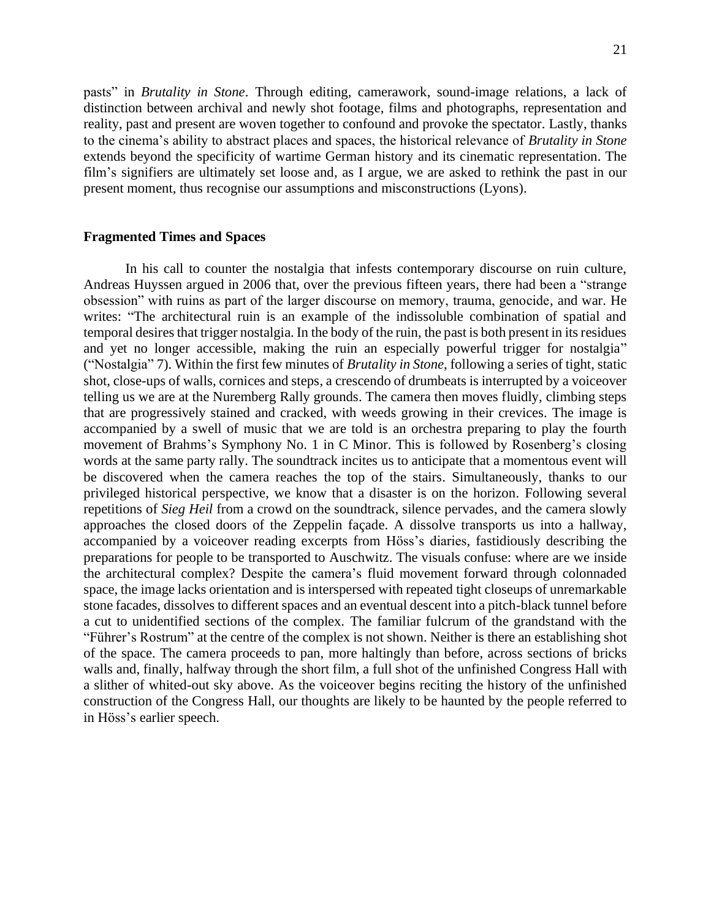pasts" in *Brutality in Stone*. Through editing, camerawork, sound-image relations, a lack of distinction between archival and newly shot footage, films and photographs, representation and reality, past and present are woven together to confound and provoke the spectator. Lastly, thanks to the cinema's ability to abstract places and spaces, the historical relevance of *Brutality in Stone* extends beyond the specificity of wartime German history and its cinematic representation. The film's signifiers are ultimately set loose and, as I argue, we are asked to rethink the past in our present moment, thus recognise our assumptions and misconstructions (Lyons).

### **Fragmented Times and Spaces**

In his call to counter the nostalgia that infests contemporary discourse on ruin culture, Andreas Huyssen argued in 2006 that, over the previous fifteen years, there had been a "strange obsession" with ruins as part of the larger discourse on memory, trauma, genocide, and war. He writes: "The architectural ruin is an example of the indissoluble combination of spatial and temporal desires that trigger nostalgia. In the body of the ruin, the past is both present in its residues and yet no longer accessible, making the ruin an especially powerful trigger for nostalgia" ("Nostalgia" 7). Within the first few minutes of *Brutality in Stone*, following a series of tight, static shot, close-ups of walls, cornices and steps, a crescendo of drumbeats is interrupted by a voiceover telling us we are at the Nuremberg Rally grounds. The camera then moves fluidly, climbing steps that are progressively stained and cracked, with weeds growing in their crevices. The image is accompanied by a swell of music that we are told is an orchestra preparing to play the fourth movement of Brahms's Symphony No. 1 in C Minor. This is followed by Rosenberg's closing words at the same party rally. The soundtrack incites us to anticipate that a momentous event will be discovered when the camera reaches the top of the stairs. Simultaneously, thanks to our privileged historical perspective, we know that a disaster is on the horizon. Following several repetitions of *Sieg Heil* from a crowd on the soundtrack, silence pervades, and the camera slowly approaches the closed doors of the Zeppelin façade. A dissolve transports us into a hallway, accompanied by a voiceover reading excerpts from Höss's diaries, fastidiously describing the preparations for people to be transported to Auschwitz. The visuals confuse: where are we inside the architectural complex? Despite the camera's fluid movement forward through colonnaded space, the image lacks orientation and is interspersed with repeated tight closeups of unremarkable stone facades, dissolves to different spaces and an eventual descent into a pitch-black tunnel before a cut to unidentified sections of the complex. The familiar fulcrum of the grandstand with the "Führer's Rostrum" at the centre of the complex is not shown. Neither is there an establishing shot of the space. The camera proceeds to pan, more haltingly than before, across sections of bricks walls and, finally, halfway through the short film, a full shot of the unfinished Congress Hall with a slither of whited-out sky above. As the voiceover begins reciting the history of the unfinished construction of the Congress Hall, our thoughts are likely to be haunted by the people referred to in Höss's earlier speech.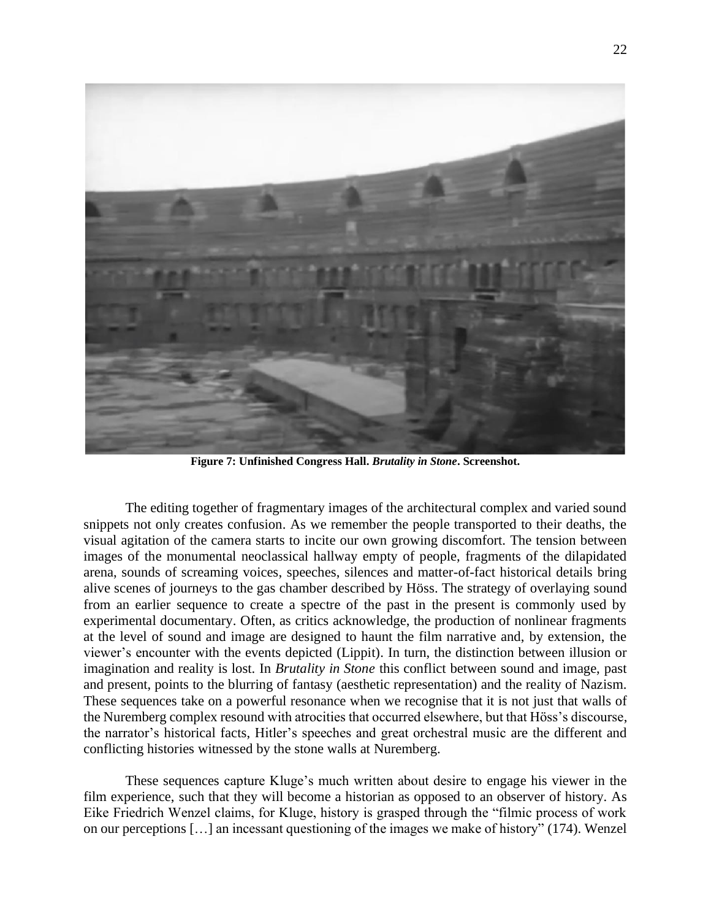

**Figure 7: Unfinished Congress Hall.** *Brutality in Stone***. Screenshot.**

The editing together of fragmentary images of the architectural complex and varied sound snippets not only creates confusion. As we remember the people transported to their deaths, the visual agitation of the camera starts to incite our own growing discomfort. The tension between images of the monumental neoclassical hallway empty of people, fragments of the dilapidated arena, sounds of screaming voices, speeches, silences and matter-of-fact historical details bring alive scenes of journeys to the gas chamber described by Höss. The strategy of overlaying sound from an earlier sequence to create a spectre of the past in the present is commonly used by experimental documentary. Often, as critics acknowledge, the production of nonlinear fragments at the level of sound and image are designed to haunt the film narrative and, by extension, the viewer's encounter with the events depicted (Lippit). In turn, the distinction between illusion or imagination and reality is lost. In *Brutality in Stone* this conflict between sound and image, past and present, points to the blurring of fantasy (aesthetic representation) and the reality of Nazism. These sequences take on a powerful resonance when we recognise that it is not just that walls of the Nuremberg complex resound with atrocities that occurred elsewhere, but that Höss's discourse, the narrator's historical facts, Hitler's speeches and great orchestral music are the different and conflicting histories witnessed by the stone walls at Nuremberg.

These sequences capture Kluge's much written about desire to engage his viewer in the film experience, such that they will become a historian as opposed to an observer of history. As Eike Friedrich Wenzel claims, for Kluge, history is grasped through the "filmic process of work on our perceptions […] an incessant questioning of the images we make of history" (174). Wenzel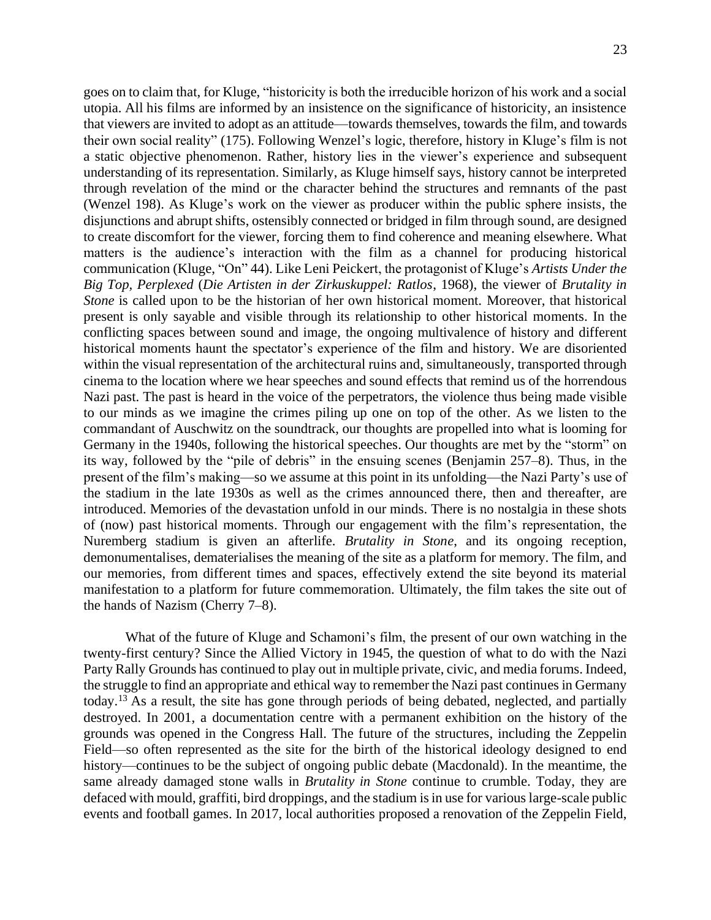goes on to claim that, for Kluge, "historicity is both the irreducible horizon of his work and a social utopia. All his films are informed by an insistence on the significance of historicity, an insistence that viewers are invited to adopt as an attitude—towards themselves, towards the film, and towards their own social reality" (175). Following Wenzel's logic, therefore, history in Kluge's film is not a static objective phenomenon. Rather, history lies in the viewer's experience and subsequent understanding of its representation. Similarly, as Kluge himself says, history cannot be interpreted through revelation of the mind or the character behind the structures and remnants of the past (Wenzel 198). As Kluge's work on the viewer as producer within the public sphere insists, the disjunctions and abrupt shifts, ostensibly connected or bridged in film through sound, are designed to create discomfort for the viewer, forcing them to find coherence and meaning elsewhere. What matters is the audience's interaction with the film as a channel for producing historical communication (Kluge, "On" 44). Like Leni Peickert, the protagonist of Kluge's *Artists Under the Big Top, Perplexed* (*Die Artisten in der Zirkuskuppel: Ratlos*, 1968), the viewer of *Brutality in Stone* is called upon to be the historian of her own historical moment. Moreover, that historical present is only sayable and visible through its relationship to other historical moments. In the conflicting spaces between sound and image, the ongoing multivalence of history and different historical moments haunt the spectator's experience of the film and history. We are disoriented within the visual representation of the architectural ruins and, simultaneously, transported through cinema to the location where we hear speeches and sound effects that remind us of the horrendous Nazi past. The past is heard in the voice of the perpetrators, the violence thus being made visible to our minds as we imagine the crimes piling up one on top of the other. As we listen to the commandant of Auschwitz on the soundtrack, our thoughts are propelled into what is looming for Germany in the 1940s, following the historical speeches. Our thoughts are met by the "storm" on its way, followed by the "pile of debris" in the ensuing scenes (Benjamin 257–8). Thus, in the present of the film's making—so we assume at this point in its unfolding—the Nazi Party's use of the stadium in the late 1930s as well as the crimes announced there, then and thereafter, are introduced. Memories of the devastation unfold in our minds. There is no nostalgia in these shots of (now) past historical moments. Through our engagement with the film's representation, the Nuremberg stadium is given an afterlife. *Brutality in Stone*, and its ongoing reception, demonumentalises, dematerialises the meaning of the site as a platform for memory. The film, and our memories, from different times and spaces, effectively extend the site beyond its material manifestation to a platform for future commemoration. Ultimately, the film takes the site out of the hands of Nazism (Cherry 7–8).

What of the future of Kluge and Schamoni's film, the present of our own watching in the twenty-first century? Since the Allied Victory in 1945, the question of what to do with the Nazi Party Rally Grounds has continued to play out in multiple private, civic, and media forums. Indeed, the struggle to find an appropriate and ethical way to remember the Nazi past continues in Germany today. <sup>13</sup> As a result, the site has gone through periods of being debated, neglected, and partially destroyed. In 2001, a documentation centre with a permanent exhibition on the history of the grounds was opened in the Congress Hall. The future of the structures, including the Zeppelin Field—so often represented as the site for the birth of the historical ideology designed to end history—continues to be the subject of ongoing public debate (Macdonald). In the meantime, the same already damaged stone walls in *Brutality in Stone* continue to crumble. Today, they are defaced with mould, graffiti, bird droppings, and the stadium is in use for various large-scale public events and football games. In 2017, local authorities proposed a renovation of the Zeppelin Field,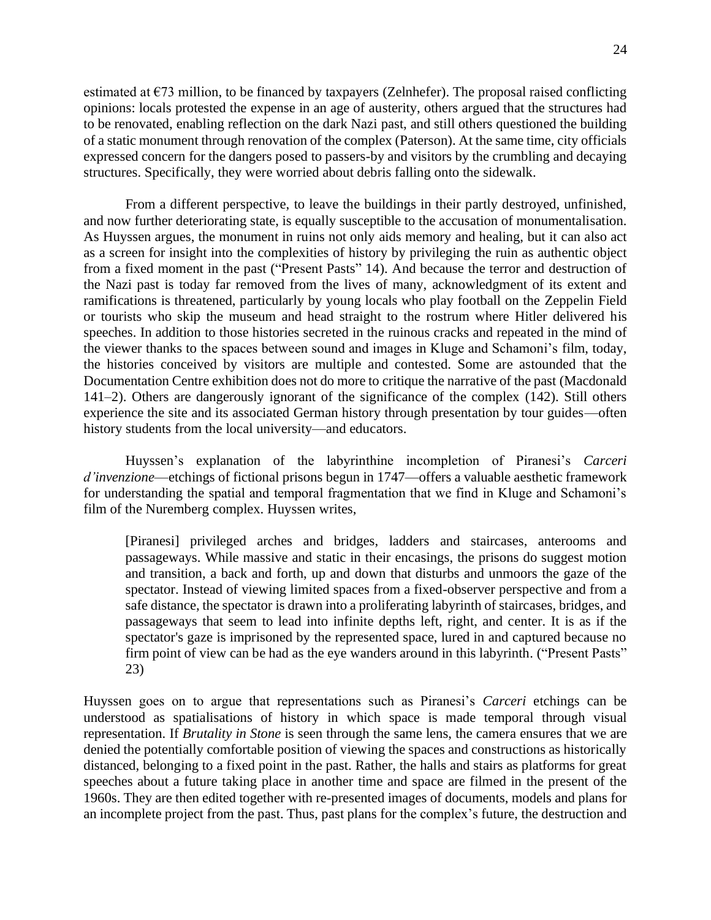estimated at  $E$ 73 million, to be financed by taxpayers (Zelnhefer). The proposal raised conflicting opinions: locals protested the expense in an age of austerity, others argued that the structures had to be renovated, enabling reflection on the dark Nazi past, and still others questioned the building of a static monument through renovation of the complex (Paterson). At the same time, city officials expressed concern for the dangers posed to passers-by and visitors by the crumbling and decaying structures. Specifically, they were worried about debris falling onto the sidewalk.

From a different perspective, to leave the buildings in their partly destroyed, unfinished, and now further deteriorating state, is equally susceptible to the accusation of monumentalisation. As Huyssen argues, the monument in ruins not only aids memory and healing, but it can also act as a screen for insight into the complexities of history by privileging the ruin as authentic object from a fixed moment in the past ("Present Pasts" 14). And because the terror and destruction of the Nazi past is today far removed from the lives of many, acknowledgment of its extent and ramifications is threatened, particularly by young locals who play football on the Zeppelin Field or tourists who skip the museum and head straight to the rostrum where Hitler delivered his speeches. In addition to those histories secreted in the ruinous cracks and repeated in the mind of the viewer thanks to the spaces between sound and images in Kluge and Schamoni's film, today, the histories conceived by visitors are multiple and contested. Some are astounded that the Documentation Centre exhibition does not do more to critique the narrative of the past (Macdonald 141–2). Others are dangerously ignorant of the significance of the complex (142). Still others experience the site and its associated German history through presentation by tour guides—often history students from the local university—and educators.

Huyssen's explanation of the labyrinthine incompletion of Piranesi's *Carceri d'invenzione*—etchings of fictional prisons begun in 1747—offers a valuable aesthetic framework for understanding the spatial and temporal fragmentation that we find in Kluge and Schamoni's film of the Nuremberg complex. Huyssen writes,

[Piranesi] privileged arches and bridges, ladders and staircases, anterooms and passageways. While massive and static in their encasings, the prisons do suggest motion and transition, a back and forth, up and down that disturbs and unmoors the gaze of the spectator. Instead of viewing limited spaces from a fixed-observer perspective and from a safe distance, the spectator is drawn into a proliferating labyrinth of staircases, bridges, and passageways that seem to lead into infinite depths left, right, and center. It is as if the spectator's gaze is imprisoned by the represented space, lured in and captured because no firm point of view can be had as the eye wanders around in this labyrinth. ("Present Pasts" 23)

Huyssen goes on to argue that representations such as Piranesi's *Carceri* etchings can be understood as spatialisations of history in which space is made temporal through visual representation. If *Brutality in Stone* is seen through the same lens, the camera ensures that we are denied the potentially comfortable position of viewing the spaces and constructions as historically distanced, belonging to a fixed point in the past. Rather, the halls and stairs as platforms for great speeches about a future taking place in another time and space are filmed in the present of the 1960s. They are then edited together with re-presented images of documents, models and plans for an incomplete project from the past. Thus, past plans for the complex's future, the destruction and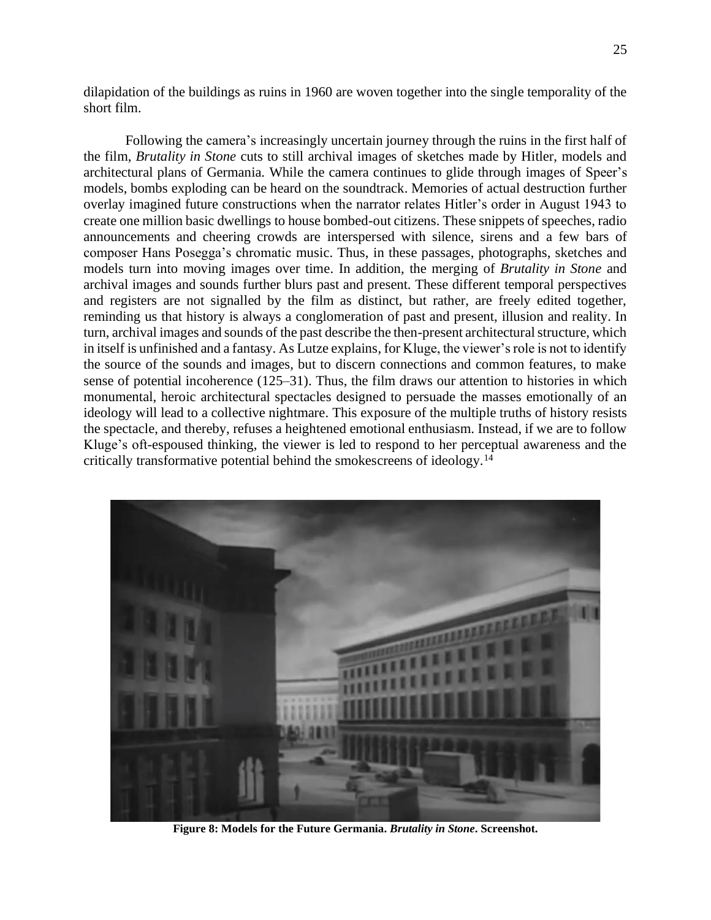dilapidation of the buildings as ruins in 1960 are woven together into the single temporality of the short film.

Following the camera's increasingly uncertain journey through the ruins in the first half of the film, *Brutality in Stone* cuts to still archival images of sketches made by Hitler, models and architectural plans of Germania. While the camera continues to glide through images of Speer's models, bombs exploding can be heard on the soundtrack. Memories of actual destruction further overlay imagined future constructions when the narrator relates Hitler's order in August 1943 to create one million basic dwellings to house bombed-out citizens. These snippets of speeches, radio announcements and cheering crowds are interspersed with silence, sirens and a few bars of composer Hans Posegga's chromatic music. Thus, in these passages, photographs, sketches and models turn into moving images over time. In addition, the merging of *Brutality in Stone* and archival images and sounds further blurs past and present. These different temporal perspectives and registers are not signalled by the film as distinct, but rather, are freely edited together, reminding us that history is always a conglomeration of past and present, illusion and reality. In turn, archival images and sounds of the past describe the then-present architectural structure, which in itself is unfinished and a fantasy. As Lutze explains, for Kluge, the viewer's role is not to identify the source of the sounds and images, but to discern connections and common features, to make sense of potential incoherence (125–31). Thus, the film draws our attention to histories in which monumental, heroic architectural spectacles designed to persuade the masses emotionally of an ideology will lead to a collective nightmare. This exposure of the multiple truths of history resists the spectacle, and thereby, refuses a heightened emotional enthusiasm. Instead, if we are to follow Kluge's oft-espoused thinking, the viewer is led to respond to her perceptual awareness and the critically transformative potential behind the smokescreens of ideology.<sup>14</sup>



**Figure 8: Models for the Future Germania.** *Brutality in Stone***. Screenshot.**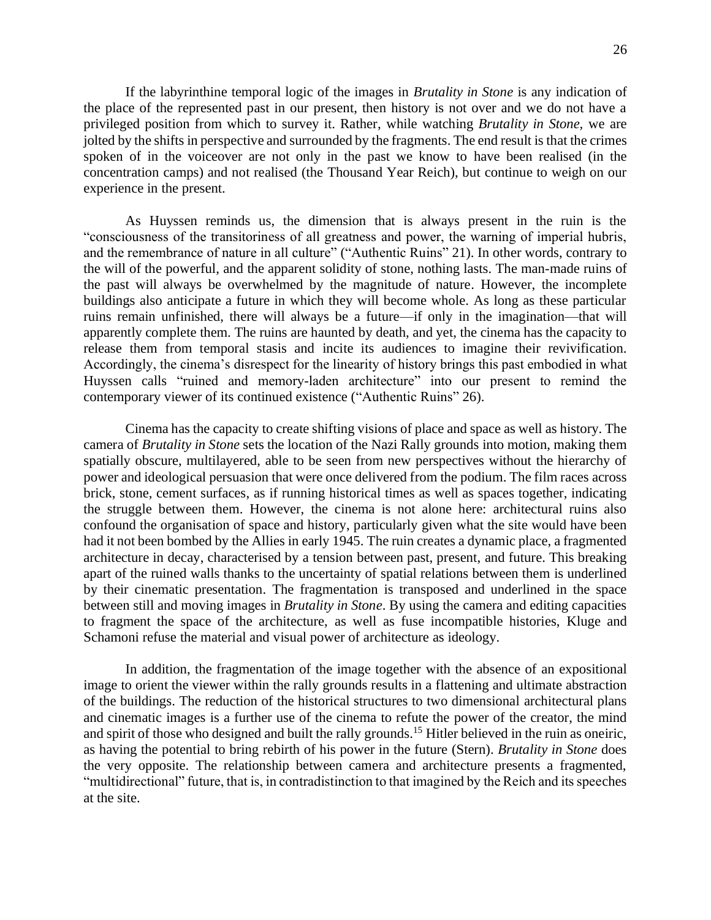If the labyrinthine temporal logic of the images in *Brutality in Stone* is any indication of the place of the represented past in our present, then history is not over and we do not have a privileged position from which to survey it. Rather, while watching *Brutality in Stone,* we are jolted by the shifts in perspective and surrounded by the fragments. The end result is that the crimes spoken of in the voiceover are not only in the past we know to have been realised (in the concentration camps) and not realised (the Thousand Year Reich), but continue to weigh on our experience in the present.

As Huyssen reminds us, the dimension that is always present in the ruin is the "consciousness of the transitoriness of all greatness and power, the warning of imperial hubris, and the remembrance of nature in all culture" ("Authentic Ruins" 21). In other words, contrary to the will of the powerful, and the apparent solidity of stone, nothing lasts. The man-made ruins of the past will always be overwhelmed by the magnitude of nature. However, the incomplete buildings also anticipate a future in which they will become whole. As long as these particular ruins remain unfinished, there will always be a future—if only in the imagination—that will apparently complete them. The ruins are haunted by death, and yet, the cinema has the capacity to release them from temporal stasis and incite its audiences to imagine their revivification. Accordingly, the cinema's disrespect for the linearity of history brings this past embodied in what Huyssen calls "ruined and memory-laden architecture" into our present to remind the contemporary viewer of its continued existence ("Authentic Ruins" 26).

Cinema has the capacity to create shifting visions of place and space as well as history. The camera of *Brutality in Stone* sets the location of the Nazi Rally grounds into motion, making them spatially obscure, multilayered, able to be seen from new perspectives without the hierarchy of power and ideological persuasion that were once delivered from the podium. The film races across brick, stone, cement surfaces, as if running historical times as well as spaces together, indicating the struggle between them. However, the cinema is not alone here: architectural ruins also confound the organisation of space and history, particularly given what the site would have been had it not been bombed by the Allies in early 1945. The ruin creates a dynamic place, a fragmented architecture in decay, characterised by a tension between past, present, and future. This breaking apart of the ruined walls thanks to the uncertainty of spatial relations between them is underlined by their cinematic presentation. The fragmentation is transposed and underlined in the space between still and moving images in *Brutality in Stone*. By using the camera and editing capacities to fragment the space of the architecture, as well as fuse incompatible histories, Kluge and Schamoni refuse the material and visual power of architecture as ideology.

In addition, the fragmentation of the image together with the absence of an expositional image to orient the viewer within the rally grounds results in a flattening and ultimate abstraction of the buildings. The reduction of the historical structures to two dimensional architectural plans and cinematic images is a further use of the cinema to refute the power of the creator, the mind and spirit of those who designed and built the rally grounds.<sup>15</sup> Hitler believed in the ruin as oneiric, as having the potential to bring rebirth of his power in the future (Stern). *Brutality in Stone* does the very opposite. The relationship between camera and architecture presents a fragmented, "multidirectional" future, that is, in contradistinction to that imagined by the Reich and its speeches at the site.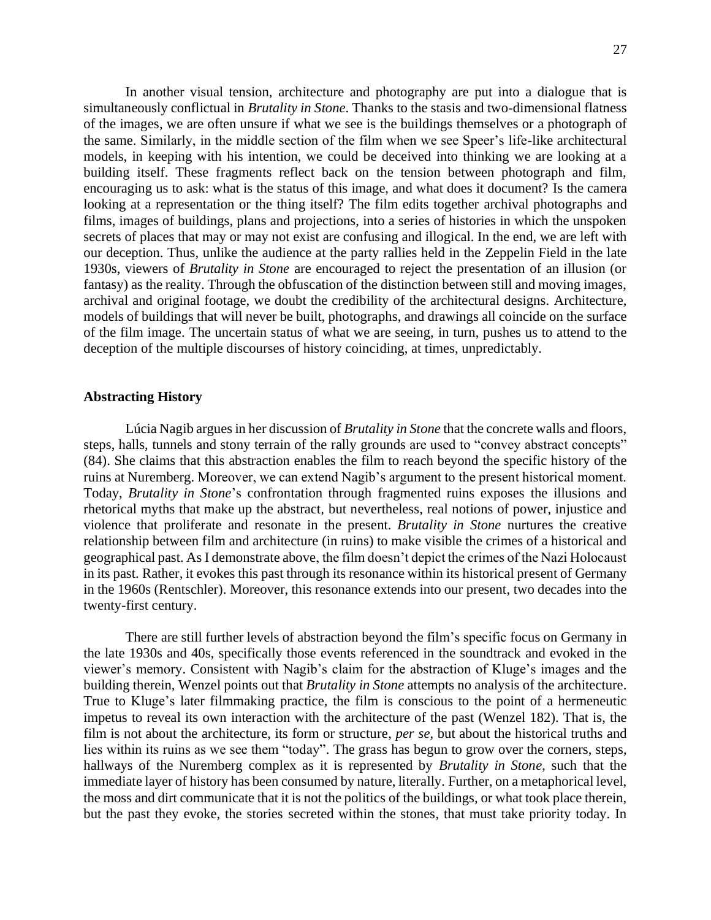In another visual tension, architecture and photography are put into a dialogue that is simultaneously conflictual in *Brutality in Stone*. Thanks to the stasis and two-dimensional flatness of the images, we are often unsure if what we see is the buildings themselves or a photograph of the same. Similarly, in the middle section of the film when we see Speer's life-like architectural models, in keeping with his intention, we could be deceived into thinking we are looking at a building itself. These fragments reflect back on the tension between photograph and film, encouraging us to ask: what is the status of this image, and what does it document? Is the camera looking at a representation or the thing itself? The film edits together archival photographs and films, images of buildings, plans and projections, into a series of histories in which the unspoken secrets of places that may or may not exist are confusing and illogical. In the end, we are left with our deception. Thus, unlike the audience at the party rallies held in the Zeppelin Field in the late 1930s, viewers of *Brutality in Stone* are encouraged to reject the presentation of an illusion (or fantasy) as the reality. Through the obfuscation of the distinction between still and moving images, archival and original footage, we doubt the credibility of the architectural designs. Architecture, models of buildings that will never be built, photographs, and drawings all coincide on the surface of the film image. The uncertain status of what we are seeing, in turn, pushes us to attend to the deception of the multiple discourses of history coinciding, at times, unpredictably.

### **Abstracting History**

Lúcia Nagib argues in her discussion of *Brutality in Stone* that the concrete walls and floors, steps, halls, tunnels and stony terrain of the rally grounds are used to "convey abstract concepts" (84). She claims that this abstraction enables the film to reach beyond the specific history of the ruins at Nuremberg. Moreover, we can extend Nagib's argument to the present historical moment. Today, *Brutality in Stone*'s confrontation through fragmented ruins exposes the illusions and rhetorical myths that make up the abstract, but nevertheless, real notions of power, injustice and violence that proliferate and resonate in the present. *Brutality in Stone* nurtures the creative relationship between film and architecture (in ruins) to make visible the crimes of a historical and geographical past. As I demonstrate above, the film doesn't depict the crimes of the Nazi Holocaust in its past. Rather, it evokes this past through its resonance within its historical present of Germany in the 1960s (Rentschler). Moreover, this resonance extends into our present, two decades into the twenty-first century.

There are still further levels of abstraction beyond the film's specific focus on Germany in the late 1930s and 40s, specifically those events referenced in the soundtrack and evoked in the viewer's memory. Consistent with Nagib's claim for the abstraction of Kluge's images and the building therein, Wenzel points out that *Brutality in Stone* attempts no analysis of the architecture. True to Kluge's later filmmaking practice, the film is conscious to the point of a hermeneutic impetus to reveal its own interaction with the architecture of the past (Wenzel 182). That is, the film is not about the architecture, its form or structure, *per se*, but about the historical truths and lies within its ruins as we see them "today". The grass has begun to grow over the corners, steps, hallways of the Nuremberg complex as it is represented by *Brutality in Stone*, such that the immediate layer of history has been consumed by nature, literally. Further, on a metaphorical level, the moss and dirt communicate that it is not the politics of the buildings, or what took place therein, but the past they evoke, the stories secreted within the stones, that must take priority today. In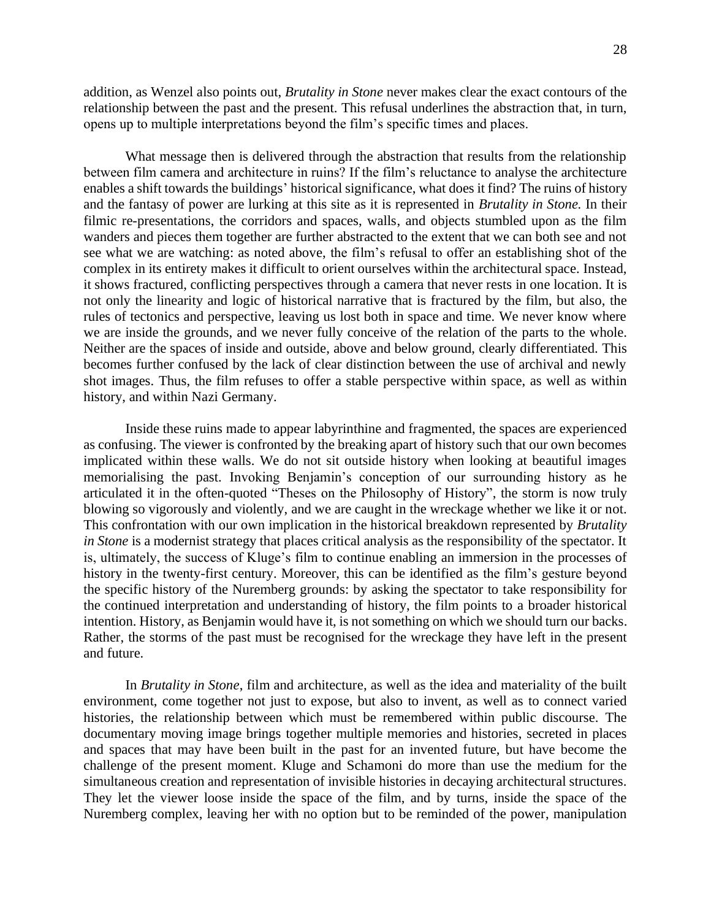addition, as Wenzel also points out, *Brutality in Stone* never makes clear the exact contours of the relationship between the past and the present. This refusal underlines the abstraction that, in turn, opens up to multiple interpretations beyond the film's specific times and places.

What message then is delivered through the abstraction that results from the relationship between film camera and architecture in ruins? If the film's reluctance to analyse the architecture enables a shift towards the buildings' historical significance, what does it find? The ruins of history and the fantasy of power are lurking at this site as it is represented in *Brutality in Stone.* In their filmic re-presentations, the corridors and spaces, walls, and objects stumbled upon as the film wanders and pieces them together are further abstracted to the extent that we can both see and not see what we are watching: as noted above, the film's refusal to offer an establishing shot of the complex in its entirety makes it difficult to orient ourselves within the architectural space. Instead, it shows fractured, conflicting perspectives through a camera that never rests in one location. It is not only the linearity and logic of historical narrative that is fractured by the film, but also, the rules of tectonics and perspective, leaving us lost both in space and time. We never know where we are inside the grounds, and we never fully conceive of the relation of the parts to the whole. Neither are the spaces of inside and outside, above and below ground, clearly differentiated. This becomes further confused by the lack of clear distinction between the use of archival and newly shot images. Thus, the film refuses to offer a stable perspective within space, as well as within history, and within Nazi Germany.

Inside these ruins made to appear labyrinthine and fragmented, the spaces are experienced as confusing. The viewer is confronted by the breaking apart of history such that our own becomes implicated within these walls. We do not sit outside history when looking at beautiful images memorialising the past. Invoking Benjamin's conception of our surrounding history as he articulated it in the often-quoted "Theses on the Philosophy of History", the storm is now truly blowing so vigorously and violently, and we are caught in the wreckage whether we like it or not. This confrontation with our own implication in the historical breakdown represented by *Brutality in Stone* is a modernist strategy that places critical analysis as the responsibility of the spectator. It is, ultimately, the success of Kluge's film to continue enabling an immersion in the processes of history in the twenty-first century. Moreover, this can be identified as the film's gesture beyond the specific history of the Nuremberg grounds: by asking the spectator to take responsibility for the continued interpretation and understanding of history, the film points to a broader historical intention. History, as Benjamin would have it, is not something on which we should turn our backs. Rather, the storms of the past must be recognised for the wreckage they have left in the present and future.

In *Brutality in Stone*, film and architecture, as well as the idea and materiality of the built environment, come together not just to expose, but also to invent, as well as to connect varied histories, the relationship between which must be remembered within public discourse. The documentary moving image brings together multiple memories and histories, secreted in places and spaces that may have been built in the past for an invented future, but have become the challenge of the present moment. Kluge and Schamoni do more than use the medium for the simultaneous creation and representation of invisible histories in decaying architectural structures. They let the viewer loose inside the space of the film, and by turns, inside the space of the Nuremberg complex, leaving her with no option but to be reminded of the power, manipulation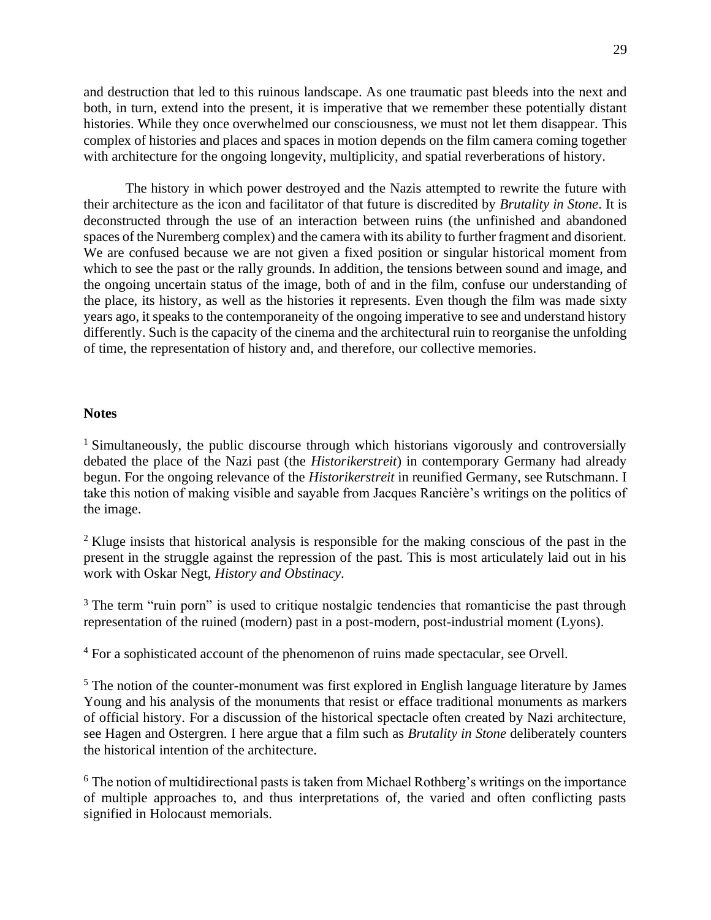and destruction that led to this ruinous landscape. As one traumatic past bleeds into the next and both, in turn, extend into the present, it is imperative that we remember these potentially distant histories. While they once overwhelmed our consciousness, we must not let them disappear. This complex of histories and places and spaces in motion depends on the film camera coming together with architecture for the ongoing longevity, multiplicity, and spatial reverberations of history.

The history in which power destroyed and the Nazis attempted to rewrite the future with their architecture as the icon and facilitator of that future is discredited by *Brutality in Stone*. It is deconstructed through the use of an interaction between ruins (the unfinished and abandoned spaces of the Nuremberg complex) and the camera with its ability to further fragment and disorient. We are confused because we are not given a fixed position or singular historical moment from which to see the past or the rally grounds. In addition, the tensions between sound and image, and the ongoing uncertain status of the image, both of and in the film, confuse our understanding of the place, its history, as well as the histories it represents. Even though the film was made sixty years ago, it speaks to the contemporaneity of the ongoing imperative to see and understand history differently. Such is the capacity of the cinema and the architectural ruin to reorganise the unfolding of time, the representation of history and, and therefore, our collective memories.

#### **Notes**

<sup>1</sup> Simultaneously, the public discourse through which historians vigorously and controversially debated the place of the Nazi past (the *Historikerstreit*) in contemporary Germany had already begun. For the ongoing relevance of the *Historikerstreit* in reunified Germany, see Rutschmann. I take this notion of making visible and sayable from Jacques Rancière's writings on the politics of the image.

<sup>2</sup> Kluge insists that historical analysis is responsible for the making conscious of the past in the present in the struggle against the repression of the past. This is most articulately laid out in his work with Oskar Negt, *History and Obstinacy*.

<sup>3</sup> The term "ruin porn" is used to critique nostalgic tendencies that romanticise the past through representation of the ruined (modern) past in a post-modern, post-industrial moment (Lyons).

<sup>4</sup> For a sophisticated account of the phenomenon of ruins made spectacular, see Orvell.

<sup>5</sup> The notion of the counter-monument was first explored in English language literature by James Young and his analysis of the monuments that resist or efface traditional monuments as markers of official history. For a discussion of the historical spectacle often created by Nazi architecture, see Hagen and Ostergren. I here argue that a film such as *Brutality in Stone* deliberately counters the historical intention of the architecture.

<sup>6</sup> The notion of multidirectional pasts is taken from Michael Rothberg's writings on the importance of multiple approaches to, and thus interpretations of, the varied and often conflicting pasts signified in Holocaust memorials.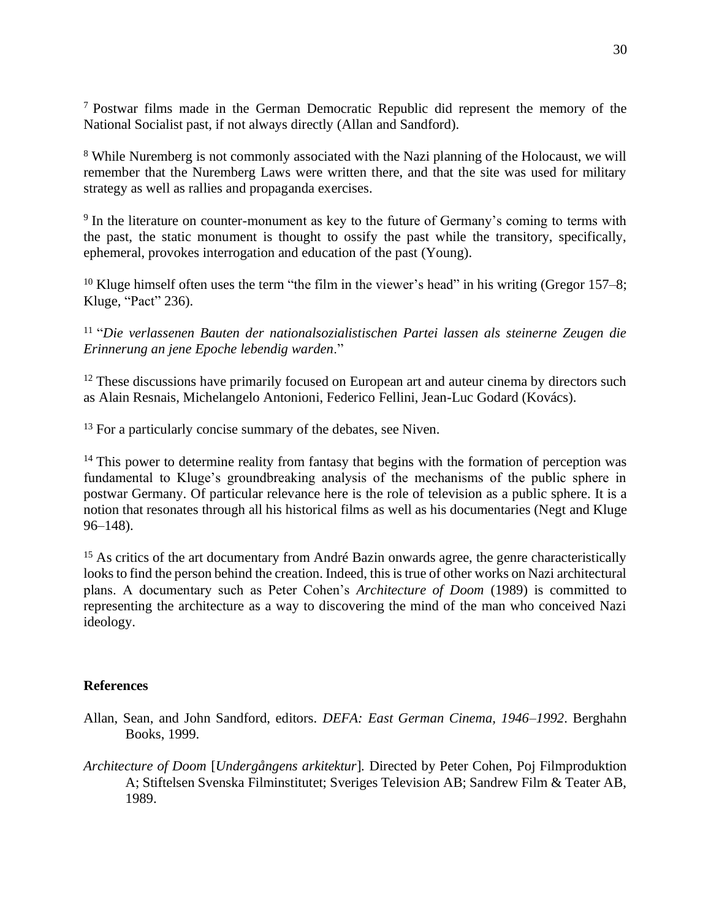<sup>7</sup> Postwar films made in the German Democratic Republic did represent the memory of the National Socialist past, if not always directly (Allan and Sandford).

<sup>8</sup> While Nuremberg is not commonly associated with the Nazi planning of the Holocaust, we will remember that the Nuremberg Laws were written there, and that the site was used for military strategy as well as rallies and propaganda exercises.

<sup>9</sup> In the literature on counter-monument as key to the future of Germany's coming to terms with the past, the static monument is thought to ossify the past while the transitory, specifically, ephemeral, provokes interrogation and education of the past (Young).

<sup>10</sup> Kluge himself often uses the term "the film in the viewer's head" in his writing (Gregor 157–8; Kluge, "Pact" 236).

11 "*Die verlassenen Bauten der nationalsozialistischen Partei lassen als steinerne Zeugen die Erinnerung an jene Epoche lebendig warden*."

<sup>12</sup> These discussions have primarily focused on European art and auteur cinema by directors such as Alain Resnais, Michelangelo Antonioni, Federico Fellini, Jean-Luc Godard (Kovács).

<sup>13</sup> For a particularly concise summary of the debates, see Niven.

<sup>14</sup> This power to determine reality from fantasy that begins with the formation of perception was fundamental to Kluge's groundbreaking analysis of the mechanisms of the public sphere in postwar Germany. Of particular relevance here is the role of television as a public sphere. It is a notion that resonates through all his historical films as well as his documentaries (Negt and Kluge 96–148).

<sup>15</sup> As critics of the art documentary from André Bazin onwards agree, the genre characteristically looks to find the person behind the creation. Indeed, this is true of other works on Nazi architectural plans. A documentary such as Peter Cohen's *Architecture of Doom* (1989) is committed to representing the architecture as a way to discovering the mind of the man who conceived Nazi ideology.

### **References**

- Allan, Sean, and John Sandford, editors. *DEFA: East German Cinema, 1946–1992*. Berghahn Books, 1999.
- *Architecture of Doom* [*Undergångens arkitektur*]*.* Directed by Peter Cohen, Poj Filmproduktion A; Stiftelsen Svenska Filminstitutet; Sveriges Television AB; Sandrew Film & Teater AB, 1989.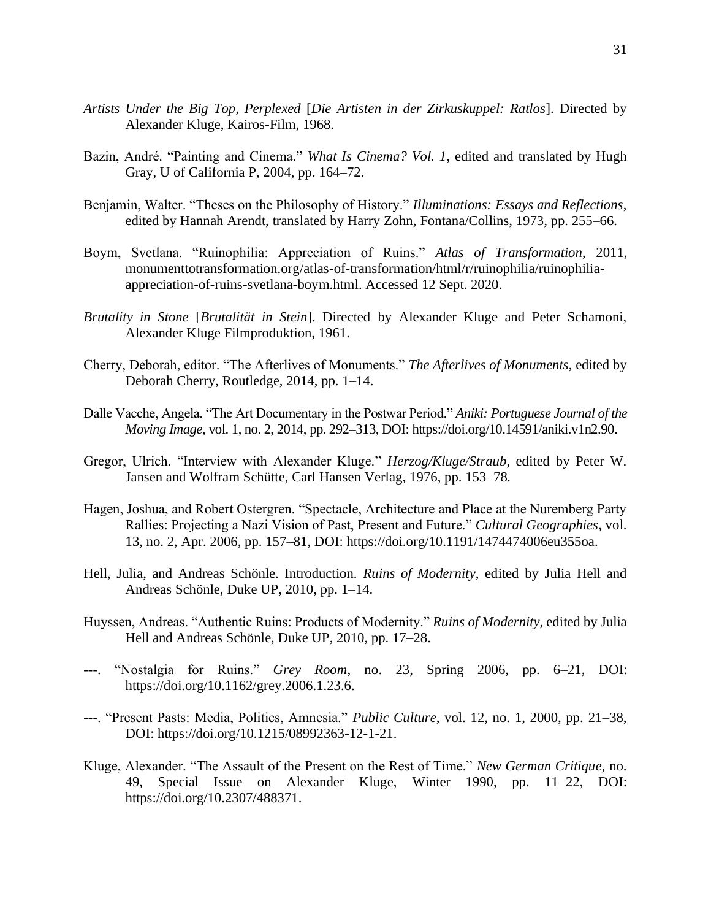- *Artists Under the Big Top, Perplexed* [*Die Artisten in der Zirkuskuppel: Ratlos*]. Directed by Alexander Kluge, Kairos-Film, 1968.
- Bazin, André. "Painting and Cinema." *What Is Cinema? Vol. 1*, edited and translated by Hugh Gray, U of California P, 2004, pp. 164–72.
- Benjamin, Walter. "Theses on the Philosophy of History." *Illuminations: Essays and Reflections*, edited by Hannah Arendt, translated by Harry Zohn, Fontana/Collins, 1973, pp. 255–66.
- Boym, Svetlana. "Ruinophilia: Appreciation of Ruins." *Atlas of Transformation*, 2011, [monumenttotransformation.org/atlas-of-transformation/html/r/ruinophilia/ruinophilia](http://monumenttotransformation.org/atlas-of-transformation/html/r/ruinophilia/ruinophilia-appreciation-of-ruins-svetlana-boym.html)[appreciation-of-ruins-svetlana-boym.html.](http://monumenttotransformation.org/atlas-of-transformation/html/r/ruinophilia/ruinophilia-appreciation-of-ruins-svetlana-boym.html) Accessed 12 Sept. 2020.
- *Brutality in Stone* [*Brutalität in Stein*]. Directed by Alexander Kluge and Peter Schamoni, Alexander Kluge Filmproduktion, 1961.
- Cherry, Deborah, editor. "The Afterlives of Monuments." *The Afterlives of Monuments*, edited by Deborah Cherry, Routledge, 2014, pp. 1–14.
- Dalle Vacche, Angela. "The Art Documentary in the Postwar Period." *Aniki: Portuguese Journal of the Moving Image*, vol. 1, no. 2, 2014, pp. 292–313, DOI[: https://doi.org/10.14591/aniki.v1n2.90.](https://doi.org/10.14591/aniki.v1n2.90)
- Gregor, Ulrich. "Interview with Alexander Kluge." *Herzog/Kluge/Straub*, edited by Peter W. Jansen and Wolfram Schütte, Carl Hansen Verlag, 1976, pp. 153–78*.*
- Hagen, Joshua, and Robert Ostergren. "Spectacle, Architecture and Place at the Nuremberg Party Rallies: Projecting a Nazi Vision of Past, Present and Future." *Cultural Geographies*, vol. 13, no. 2, Apr. 2006, pp. 157–81, DOI: [https://doi.org/10.1191/1474474006eu355oa.](https://doi.org/10.1191/1474474006eu355oa)
- Hell, Julia, and Andreas Schönle. Introduction. *Ruins of Modernity*, edited by Julia Hell and Andreas Schönle, Duke UP, 2010, pp. 1–14.
- Huyssen, Andreas. "Authentic Ruins: Products of Modernity." *Ruins of Modernity*, edited by Julia Hell and Andreas Schönle, Duke UP, 2010, pp. 17–28.
- ---. "Nostalgia for Ruins." *Grey Room*, no. 23, Spring 2006, pp. 6–21, DOI: [https://doi.org/10.1162/grey.2006.1.23.6.](https://doi.org/10.1162/grey.2006.1.23.6)
- ---. "Present Pasts: Media, Politics, Amnesia." *Public Culture*, vol. 12, no. 1, 2000, pp. 21–38, DOI: [https://doi.org/10.1215/08992363-12-1-21.](https://doi.org/10.1215/08992363-12-1-21)
- Kluge, Alexander. "The Assault of the Present on the Rest of Time." *New German Critique,* no. 49, Special Issue on Alexander Kluge, Winter 1990, pp. 11–22, DOI: [https://doi.org/10.2307/488371.](https://doi.org/10.2307/488371)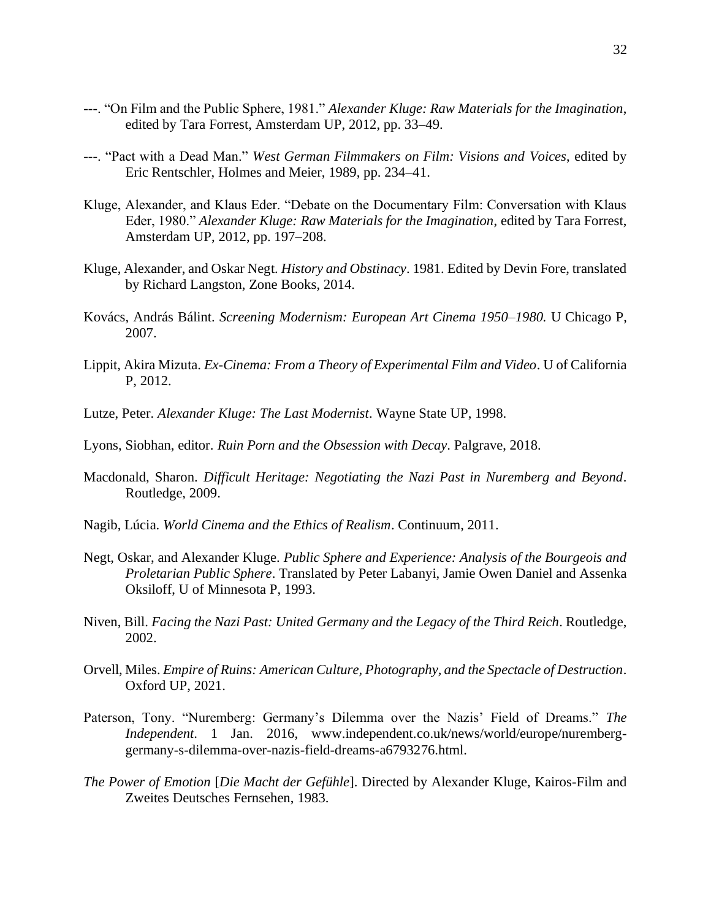- ---. "On Film and the Public Sphere, 1981." *Alexander Kluge: Raw Materials for the Imagination*, edited by Tara Forrest, Amsterdam UP, 2012, pp. 33–49.
- ---. "Pact with a Dead Man." *West German Filmmakers on Film: Visions and Voices*, edited by Eric Rentschler, Holmes and Meier, 1989, pp. 234–41.
- Kluge, Alexander, and Klaus Eder. "Debate on the Documentary Film: Conversation with Klaus Eder, 1980." *Alexander Kluge: Raw Materials for the Imagination*, edited by Tara Forrest, Amsterdam UP, 2012, pp. 197–208.
- Kluge, Alexander, and Oskar Negt. *History and Obstinacy*. 1981. Edited by Devin Fore, translated by Richard Langston, Zone Books, 2014.
- Kovács, András Bálint. *Screening Modernism: European Art Cinema 1950–1980.* U Chicago P, 2007.
- Lippit, Akira Mizuta. *Ex-Cinema: From a Theory of Experimental Film and Video*. U of California P, 2012.
- Lutze, Peter. *Alexander Kluge: The Last Modernist*. Wayne State UP, 1998.
- Lyons, Siobhan, editor. *Ruin Porn and the Obsession with Decay*. Palgrave, 2018.
- Macdonald, Sharon. *Difficult Heritage: Negotiating the Nazi Past in Nuremberg and Beyond*. Routledge, 2009.
- Nagib, Lúcia. *World Cinema and the Ethics of Realism*. Continuum, 2011.
- Negt, Oskar, and Alexander Kluge. *Public Sphere and Experience: Analysis of the Bourgeois and Proletarian Public Sphere*. Translated by Peter Labanyi, Jamie Owen Daniel and Assenka Oksiloff, U of Minnesota P, 1993.
- Niven, Bill. *Facing the Nazi Past: United Germany and the Legacy of the Third Reich*. Routledge, 2002.
- Orvell, Miles. *Empire of Ruins: American Culture, Photography, and the Spectacle of Destruction*. Oxford UP, 2021.
- Paterson, Tony. "Nuremberg: Germany's Dilemma over the Nazis' Field of Dreams." *The Independent*. 1 Jan. 2016, [www.independent.co.uk/news/world/europe/nuremberg](https://www.independent.co.uk/news/world/europe/nuremberg-germany-s-dilemma-over-nazis-field-dreams-a6793276.html)[germany-s-dilemma-over-nazis-field-dreams-a6793276.html.](https://www.independent.co.uk/news/world/europe/nuremberg-germany-s-dilemma-over-nazis-field-dreams-a6793276.html)
- *The Power of Emotion* [*Die Macht der Gefühle*]. Directed by Alexander Kluge, Kairos-Film and Zweites Deutsches Fernsehen, 1983.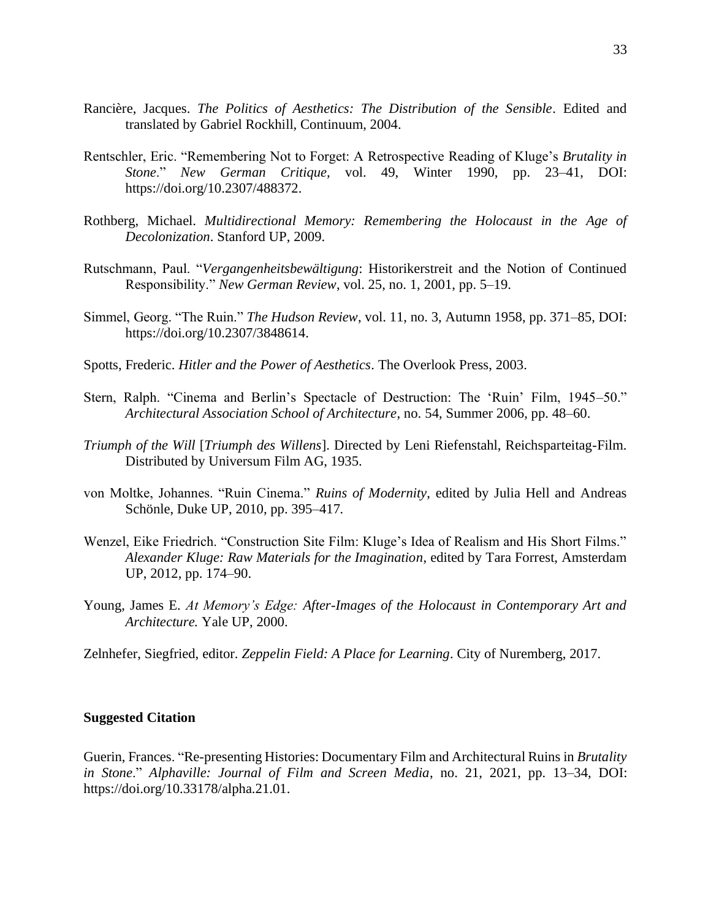- Rancière, Jacques. *The Politics of Aesthetics: The Distribution of the Sensible*. Edited and translated by Gabriel Rockhill, Continuum, 2004.
- Rentschler, Eric. "Remembering Not to Forget: A Retrospective Reading of Kluge's *Brutality in Stone*." *New German Critique,* vol. 49, Winter 1990, pp. 23–41, DOI: [https://doi.org/10.2307/488372.](https://doi.org/10.2307/488372)
- Rothberg, Michael. *Multidirectional Memory: Remembering the Holocaust in the Age of Decolonization*. Stanford UP, 2009.
- Rutschmann, Paul. "*Vergangenheitsbewältigung*: Historikerstreit and the Notion of Continued Responsibility." *New German Review*, vol. 25, no. 1, 2001, pp. 5–19.
- Simmel, Georg. "The Ruin." *The Hudson Review*, vol. 11, no. 3, Autumn 1958, pp. 371–85, DOI: [https://doi.org/10.2307/3848614.](https://doi.org/10.2307/3848614)
- Spotts, Frederic. *Hitler and the Power of Aesthetics*. The Overlook Press, 2003.
- Stern, Ralph. "Cinema and Berlin's Spectacle of Destruction: The 'Ruin' Film, 1945–50." *Architectural Association School of Architecture*, no. 54, Summer 2006, pp. 48–60.
- *Triumph of the Will* [*Triumph des Willens*]. Directed by Leni Riefenstahl, Reichsparteitag-Film. Distributed by Universum Film AG, 1935.
- von Moltke, Johannes. "Ruin Cinema." *Ruins of Modernity*, edited by Julia Hell and Andreas Schönle, Duke UP, 2010, pp. 395–417*.*
- Wenzel, Eike Friedrich. "Construction Site Film: Kluge's Idea of Realism and His Short Films." *Alexander Kluge: Raw Materials for the Imagination*, edited by Tara Forrest, Amsterdam UP, 2012, pp. 174–90.
- Young, James E. *At Memory's Edge: After-Images of the Holocaust in Contemporary Art and Architecture.* Yale UP, 2000.

Zelnhefer, Siegfried, editor. *Zeppelin Field: A Place for Learning*. City of Nuremberg, 2017.

### **Suggested Citation**

Guerin, Frances. "Re-presenting Histories: Documentary Film and Architectural Ruins in *Brutality in Stone*." *Alphaville: Journal of Film and Screen Media*, no. 21, 2021, pp. 13–34, DOI: https://doi.org/10.33178/alpha.21.01.